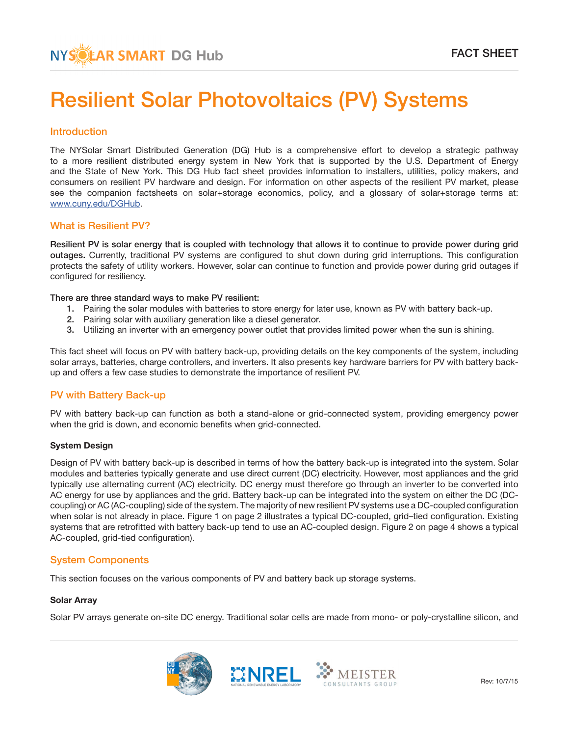### Introduction

The NYSolar Smart Distributed Generation (DG) Hub is a comprehensive effort to develop a strategic pathway to a more resilient distributed energy system in New York that is supported by the U.S. Department of Energy and the State of New York. This DG Hub fact sheet provides information to installers, utilities, policy makers, and consumers on resilient PV hardware and design. For information on other aspects of the resilient PV market, please see the companion factsheets on solar+storage economics, policy, and a glossary of solar+storage terms at: www.cuny.edu/DGHub.

### What is Resilient PV?

Resilient PV is solar energy that is coupled with technology that allows it to continue to provide power during grid outages. Currently, traditional PV systems are configured to shut down during grid interruptions. This configuration protects the safety of utility workers. However, solar can continue to function and provide power during grid outages if configured for resiliency.

#### There are three standard ways to make PV resilient:

- 1. Pairing the solar modules with batteries to store energy for later use, known as PV with battery back-up.
- 2. Pairing solar with auxiliary generation like a diesel generator.
- 3. Utilizing an inverter with an emergency power outlet that provides limited power when the sun is shining.

This fact sheet will focus on PV with battery back-up, providing details on the key components of the system, including solar arrays, batteries, charge controllers, and inverters. It also presents key hardware barriers for PV with battery backup and offers a few case studies to demonstrate the importance of resilient PV.

# PV with Battery Back-up

PV with battery back-up can function as both a stand-alone or grid-connected system, providing emergency power when the grid is down, and economic benefits when grid-connected.

#### System Design

Design of PV with battery back-up is described in terms of how the battery back-up is integrated into the system. Solar modules and batteries typically generate and use direct current (DC) electricity. However, most appliances and the grid typically use alternating current (AC) electricity. DC energy must therefore go through an inverter to be converted into AC energy for use by appliances and the grid. Battery back-up can be integrated into the system on either the DC (DCcoupling) or AC (AC-coupling) side of the system. The majority of new resilient PV systems use a DC-coupled configuration when solar is not already in place. Figure 1 on page 2 illustrates a typical DC-coupled, grid–tied configuration. Existing systems that are retrofitted with battery back-up tend to use an AC-coupled design. Figure 2 on page 4 shows a typical AC-coupled, grid-tied configuration).

# System Components

This section focuses on the various components of PV and battery back up storage systems.

#### Solar Array

Solar PV arrays generate on-site DC energy. Traditional solar cells are made from mono- or poly-crystalline silicon, and



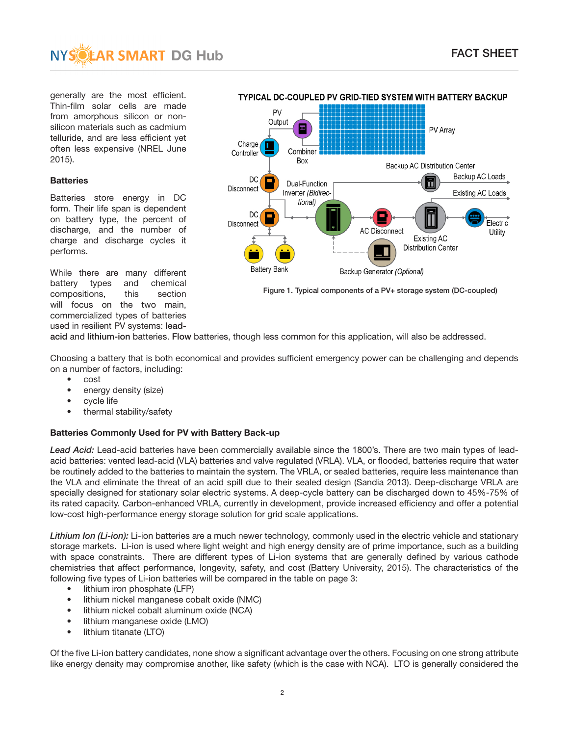

generally are the most efficient. Thin-film solar cells are made from amorphous silicon or nonsilicon materials such as cadmium telluride, and are less efficient yet often less expensive (NREL June 2015).

### **Batteries**

Batteries store energy in DC form. Their life span is dependent on battery type, the percent of discharge, and the number of charge and discharge cycles it performs.

While there are many different battery types and chemical compositions, this section will focus on the two main, commercialized types of batteries used in resilient PV systems: lead-



TYPICAL DC-COUPLED PV GRID-TIED SYSTEM WITH BATTERY BACKUP

Figure 1. Typical components of a PV+ storage system (DC-coupled)

acid and lithium-ion batteries. Flow batteries, though less common for this application, will also be addressed.

Choosing a battery that is both economical and provides sufficient emergency power can be challenging and depends on a number of factors, including:

- cost
- energy density (size)
- cycle life
- thermal stability/safety

### Batteries Commonly Used for PV with Battery Back-up

*Lead Acid:* Lead-acid batteries have been commercially available since the 1800's. There are two main types of leadacid batteries: vented lead-acid (VLA) batteries and valve regulated (VRLA). VLA, or flooded, batteries require that water be routinely added to the batteries to maintain the system. The VRLA, or sealed batteries, require less maintenance than the VLA and eliminate the threat of an acid spill due to their sealed design (Sandia 2013). Deep-discharge VRLA are specially designed for stationary solar electric systems. A deep-cycle battery can be discharged down to 45%-75% of its rated capacity. Carbon-enhanced VRLA, currently in development, provide increased efficiency and offer a potential low-cost high-performance energy storage solution for grid scale applications.

*Lithium Ion (Li-ion):* Li-ion batteries are a much newer technology, commonly used in the electric vehicle and stationary storage markets. Li-ion is used where light weight and high energy density are of prime importance, such as a building with space constraints. There are different types of Li-ion systems that are generally defined by various cathode chemistries that affect performance, longevity, safety, and cost (Battery University, 2015). The characteristics of the following five types of Li-ion batteries will be compared in the table on page 3:

- lithium iron phosphate (LFP)
- lithium nickel manganese cobalt oxide (NMC)
- lithium nickel cobalt aluminum oxide (NCA)
- lithium manganese oxide (LMO)
- lithium titanate (LTO)

Of the five Li-ion battery candidates, none show a significant advantage over the others. Focusing on one strong attribute like energy density may compromise another, like safety (which is the case with NCA). LTO is generally considered the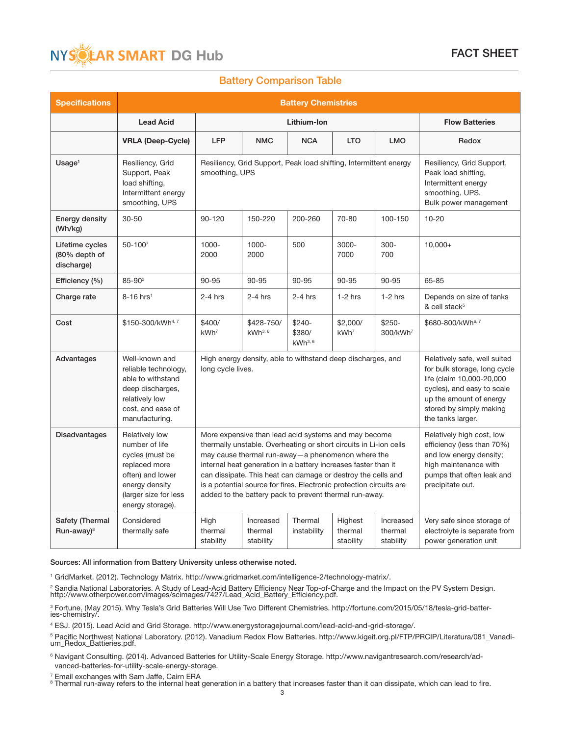

### Battery Comparison Table

| <b>Specifications</b>                          | <b>Battery Chemistries</b>                                                                                                                              |                              |                                                                                                                                                                                                                                                                                                                                                                                                                                                   |                                                                                                                                                                                                    |                                 |                                   |                                                                                     |  |
|------------------------------------------------|---------------------------------------------------------------------------------------------------------------------------------------------------------|------------------------------|---------------------------------------------------------------------------------------------------------------------------------------------------------------------------------------------------------------------------------------------------------------------------------------------------------------------------------------------------------------------------------------------------------------------------------------------------|----------------------------------------------------------------------------------------------------------------------------------------------------------------------------------------------------|---------------------------------|-----------------------------------|-------------------------------------------------------------------------------------|--|
|                                                | <b>Lead Acid</b>                                                                                                                                        | Lithium-Ion                  |                                                                                                                                                                                                                                                                                                                                                                                                                                                   |                                                                                                                                                                                                    |                                 |                                   | <b>Flow Batteries</b>                                                               |  |
|                                                | <b>VRLA (Deep-Cycle)</b>                                                                                                                                | <b>LFP</b>                   | <b>NMC</b>                                                                                                                                                                                                                                                                                                                                                                                                                                        | <b>NCA</b>                                                                                                                                                                                         | <b>LTO</b>                      | <b>LMO</b>                        | Redox                                                                               |  |
| Usaq <sub>e</sub>                              | Resiliency, Grid<br>Support, Peak<br>load shifting,<br>Intermittent energy<br>smoothing, UPS                                                            | smoothing, UPS               | Resiliency, Grid Support, Peak load shifting, Intermittent energy                                                                                                                                                                                                                                                                                                                                                                                 | Resiliency, Grid Support,<br>Peak load shifting,<br>Intermittent energy<br>smoothing, UPS,<br>Bulk power management                                                                                |                                 |                                   |                                                                                     |  |
| Energy density<br>(Wh/kg)                      | $30 - 50$                                                                                                                                               | 90-120                       | 150-220                                                                                                                                                                                                                                                                                                                                                                                                                                           | 200-260                                                                                                                                                                                            | 70-80                           | 100-150                           | $10 - 20$                                                                           |  |
| Lifetime cycles<br>(80% depth of<br>discharge) | $50 - 1007$                                                                                                                                             | 1000-<br>2000                | 1000-<br>2000                                                                                                                                                                                                                                                                                                                                                                                                                                     | 500                                                                                                                                                                                                | $3000 -$<br>7000                | $300 -$<br>700                    | $10,000+$                                                                           |  |
| Efficiency (%)                                 | $85 - 90^2$                                                                                                                                             | 90-95                        | 90-95                                                                                                                                                                                                                                                                                                                                                                                                                                             | 90-95                                                                                                                                                                                              | 90-95                           | 90-95                             | 65-85                                                                               |  |
| Charge rate                                    | $8-16$ hrs <sup>1</sup>                                                                                                                                 | $2-4$ hrs                    | $2-4$ hrs                                                                                                                                                                                                                                                                                                                                                                                                                                         | $2-4$ hrs                                                                                                                                                                                          | $1-2$ hrs                       | $1-2$ hrs                         | Depends on size of tanks<br>& cell stack <sup>5</sup>                               |  |
| Cost                                           | \$150-300/kWh <sup>4,7</sup>                                                                                                                            | \$400/<br>kWh <sup>7</sup>   | \$428-750/<br>$kWh^{3,6}$                                                                                                                                                                                                                                                                                                                                                                                                                         | $$240-$<br>\$380/<br>$kWh^{3,6}$                                                                                                                                                                   | \$2,000/<br>kWh <sup>7</sup>    | $$250-$<br>300/kWh <sup>7</sup>   | \$680-800/kWh6,7                                                                    |  |
| Advantages                                     | Well-known and<br>reliable technology,<br>able to withstand<br>deep discharges,<br>relatively low<br>cost, and ease of<br>manufacturing.                | long cycle lives.            | High energy density, able to withstand deep discharges, and                                                                                                                                                                                                                                                                                                                                                                                       | Relatively safe, well suited<br>for bulk storage, long cycle<br>life (claim 10,000-20,000<br>cycles), and easy to scale<br>up the amount of energy<br>stored by simply making<br>the tanks larger. |                                 |                                   |                                                                                     |  |
| <b>Disadvantages</b>                           | Relatively low<br>number of life<br>cycles (must be<br>replaced more<br>often) and lower<br>energy density<br>(larger size for less<br>energy storage). |                              | More expensive than lead acid systems and may become<br>thermally unstable. Overheating or short circuits in Li-ion cells<br>may cause thermal run-away-a phenomenon where the<br>internal heat generation in a battery increases faster than it<br>can dissipate. This heat can damage or destroy the cells and<br>is a potential source for fires. Electronic protection circuits are<br>added to the battery pack to prevent thermal run-away. | Relatively high cost, low<br>efficiency (less than 70%)<br>and low energy density;<br>high maintenance with<br>pumps that often leak and<br>precipitate out.                                       |                                 |                                   |                                                                                     |  |
| Safety (Thermal<br>Run-away) <sup>8</sup>      | Considered<br>thermally safe                                                                                                                            | High<br>thermal<br>stability | Increased<br>thermal<br>stability                                                                                                                                                                                                                                                                                                                                                                                                                 | Thermal<br>instability                                                                                                                                                                             | Highest<br>thermal<br>stability | Increased<br>thermal<br>stability | Very safe since storage of<br>electrolyte is separate from<br>power generation unit |  |

Sources: All information from Battery University unless otherwise noted.

1 GridMarket. (2012). Technology Matrix. http://www.gridmarket.com/intelligence-2/technology-matrix/.

<sup>2</sup> Sandia National Laboratories. A Study of Lead-Acid Battery Efficiency Near Top-of-Charge and the Impact on the PV System Design.<br>http://www.otherpower.com/images/scimages/7427/Lead\_Acid\_Battery\_Efficiency.pdf.

<sup>3</sup> Fortune. (May 2015). Why Tesla's Grid Batteries Will Use Two Different Chemistries. http://fortune.com/2015/05/18/tesla-grid-batter-<br>ies-chemistry/.

4 ESJ. (2015). Lead Acid and Grid Storage. http://www.energystoragejournal.com/lead-acid-and-grid-storage/.

5 Pacific Northwest National Laboratory. (2012). Vanadium Redox Flow Batteries. http://www.kigeit.org.pl/FTP/PRCIP/Literatura/081\_Vanadi-<br>um\_Redox\_Battieries.pdf.

<sup>6</sup> Navigant Consulting. (2014). Advanced Batteries for Utility-Scale Energy Storage. http://www.navigantresearch.com/research/advanced-batteries-for-utility-scale-energy-storage.

<sup>7</sup> Email exchanges with Sam Jaffe, Cairn ERA<br><sup>8</sup> Thermal run-away refers to the internal heat generation in a battery that increases faster than it can dissipate, which can lead to fire.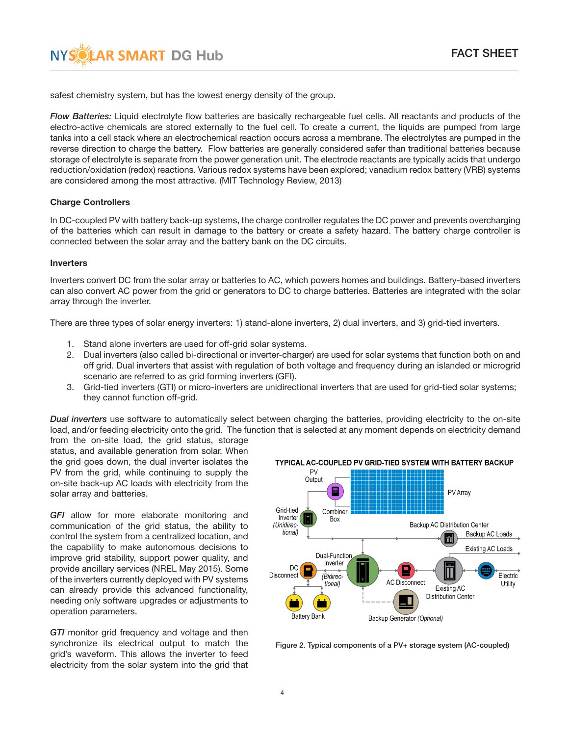safest chemistry system, but has the lowest energy density of the group.

*Flow Batteries:* Liquid electrolyte flow batteries are basically rechargeable fuel cells. All reactants and products of the electro-active chemicals are stored externally to the fuel cell. To create a current, the liquids are pumped from large tanks into a cell stack where an electrochemical reaction occurs across a membrane. The electrolytes are pumped in the reverse direction to charge the battery. Flow batteries are generally considered safer than traditional batteries because storage of electrolyte is separate from the power generation unit. The electrode reactants are typically acids that undergo reduction/oxidation (redox) reactions. Various redox systems have been explored; vanadium redox battery (VRB) systems are considered among the most attractive. (MIT Technology Review, 2013)

### Charge Controllers

In DC-coupled PV with battery back-up systems, the charge controller regulates the DC power and prevents overcharging of the batteries which can result in damage to the battery or create a safety hazard. The battery charge controller is connected between the solar array and the battery bank on the DC circuits.

### Inverters

Inverters convert DC from the solar array or batteries to AC, which powers homes and buildings. Battery-based inverters can also convert AC power from the grid or generators to DC to charge batteries. Batteries are integrated with the solar array through the inverter.

There are three types of solar energy inverters: 1) stand-alone inverters, 2) dual inverters, and 3) grid-tied inverters.

- 1. Stand alone inverters are used for off-grid solar systems.
- 2. Dual inverters (also called bi-directional or inverter-charger) are used for solar systems that function both on and off grid. Dual inverters that assist with regulation of both voltage and frequency during an islanded or microgrid scenario are referred to as grid forming inverters (GFI).
- 3. Grid-tied inverters (GTI) or micro-inverters are unidirectional inverters that are used for grid-tied solar systems; they cannot function off-grid.

*Dual inverters* use software to automatically select between charging the batteries, providing electricity to the on-site load, and/or feeding electricity onto the grid. The function that is selected at any moment depends on electricity demand

from the on-site load, the grid status, storage status, and available generation from solar. When the grid goes down, the dual inverter isolates the PV from the grid, while continuing to supply the on-site back-up AC loads with electricity from the solar array and batteries.

*GFI* allow for more elaborate monitoring and communication of the grid status, the ability to control the system from a centralized location, and the capability to make autonomous decisions to improve grid stability, support power quality, and provide ancillary services (NREL May 2015). Some of the inverters currently deployed with PV systems can already provide this advanced functionality, needing only software upgrades or adjustments to operation parameters.

*GTI* monitor grid frequency and voltage and then synchronize its electrical output to match the grid's waveform. This allows the inverter to feed electricity from the solar system into the grid that



Figure 2. Typical components of a PV+ storage system (AC-coupled)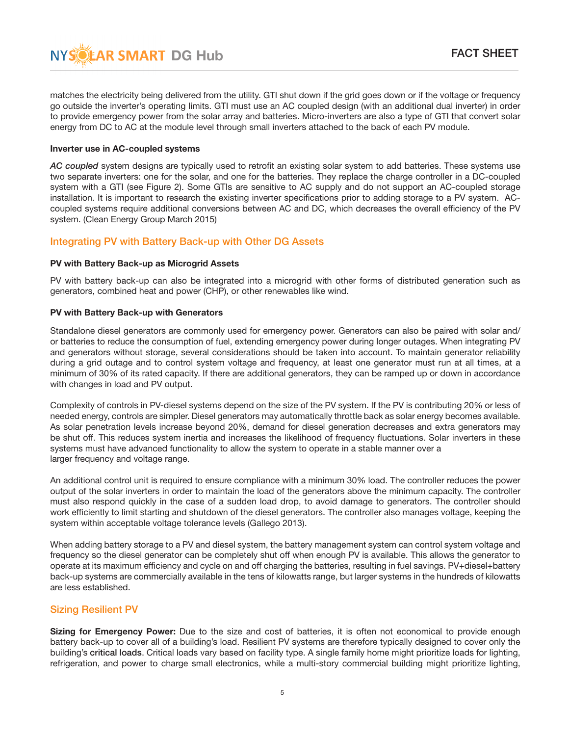matches the electricity being delivered from the utility. GTI shut down if the grid goes down or if the voltage or frequency go outside the inverter's operating limits. GTI must use an AC coupled design (with an additional dual inverter) in order to provide emergency power from the solar array and batteries. Micro-inverters are also a type of GTI that convert solar energy from DC to AC at the module level through small inverters attached to the back of each PV module.

### Inverter use in AC-coupled systems

*AC coupled* system designs are typically used to retrofit an existing solar system to add batteries. These systems use two separate inverters: one for the solar, and one for the batteries. They replace the charge controller in a DC-coupled system with a GTI (see Figure 2). Some GTIs are sensitive to AC supply and do not support an AC-coupled storage installation. It is important to research the existing inverter specifications prior to adding storage to a PV system. ACcoupled systems require additional conversions between AC and DC, which decreases the overall efficiency of the PV system. (Clean Energy Group March 2015)

# Integrating PV with Battery Back-up with Other DG Assets

### PV with Battery Back-up as Microgrid Assets

PV with battery back-up can also be integrated into a microgrid with other forms of distributed generation such as generators, combined heat and power (CHP), or other renewables like wind.

### PV with Battery Back-up with Generators

Standalone diesel generators are commonly used for emergency power. Generators can also be paired with solar and/ or batteries to reduce the consumption of fuel, extending emergency power during longer outages. When integrating PV and generators without storage, several considerations should be taken into account. To maintain generator reliability during a grid outage and to control system voltage and frequency, at least one generator must run at all times, at a minimum of 30% of its rated capacity. If there are additional generators, they can be ramped up or down in accordance with changes in load and PV output.

Complexity of controls in PV-diesel systems depend on the size of the PV system. If the PV is contributing 20% or less of needed energy, controls are simpler. Diesel generators may automatically throttle back as solar energy becomes available. As solar penetration levels increase beyond 20%, demand for diesel generation decreases and extra generators may be shut off. This reduces system inertia and increases the likelihood of frequency fluctuations. Solar inverters in these systems must have advanced functionality to allow the system to operate in a stable manner over a larger frequency and voltage range.

An additional control unit is required to ensure compliance with a minimum 30% load. The controller reduces the power output of the solar inverters in order to maintain the load of the generators above the minimum capacity. The controller must also respond quickly in the case of a sudden load drop, to avoid damage to generators. The controller should work efficiently to limit starting and shutdown of the diesel generators. The controller also manages voltage, keeping the system within acceptable voltage tolerance levels (Gallego 2013).

When adding battery storage to a PV and diesel system, the battery management system can control system voltage and frequency so the diesel generator can be completely shut off when enough PV is available. This allows the generator to operate at its maximum efficiency and cycle on and off charging the batteries, resulting in fuel savings. PV+diesel+battery back-up systems are commercially available in the tens of kilowatts range, but larger systems in the hundreds of kilowatts are less established.

# Sizing Resilient PV

Sizing for Emergency Power: Due to the size and cost of batteries, it is often not economical to provide enough battery back-up to cover all of a building's load. Resilient PV systems are therefore typically designed to cover only the building's critical loads. Critical loads vary based on facility type. A single family home might prioritize loads for lighting, refrigeration, and power to charge small electronics, while a multi-story commercial building might prioritize lighting,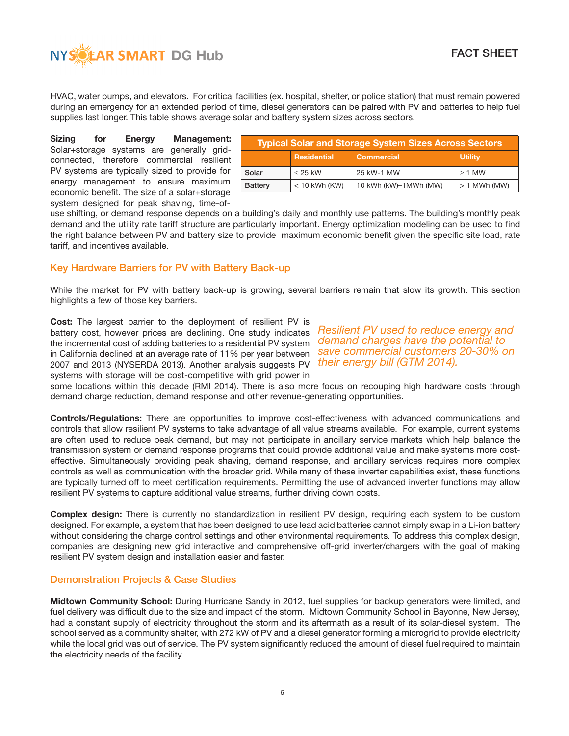**AR SMART DG Hub FACT SHEET** 

HVAC, water pumps, and elevators. For critical facilities (ex. hospital, shelter, or police station) that must remain powered during an emergency for an extended period of time, diesel generators can be paired with PV and batteries to help fuel supplies last longer. This table shows average solar and battery system sizes across sectors.

Sizing for Energy Management: Solar+storage systems are generally gridconnected, therefore commercial resilient PV systems are typically sized to provide for energy management to ensure maximum economic benefit. The size of a solar+storage system designed for peak shaving, time-of-

| <b>Typical Solar and Storage System Sizes Across Sectors</b> |                    |                       |                |  |  |  |  |
|--------------------------------------------------------------|--------------------|-----------------------|----------------|--|--|--|--|
|                                                              | <b>Residential</b> | <b>Commercial</b>     | <b>Utility</b> |  |  |  |  |
| Solar                                                        | $\leq$ 25 kW       | 25 kW-1 MW            | $\geq 1$ MW    |  |  |  |  |
| <b>Battery</b>                                               | $<$ 10 kWh (KW)    | 10 kWh (kW)-1MWh (MW) | $>1$ MWh (MW)  |  |  |  |  |

use shifting, or demand response depends on a building's daily and monthly use patterns. The building's monthly peak demand and the utility rate tariff structure are particularly important. Energy optimization modeling can be used to find the right balance between PV and battery size to provide maximum economic benefit given the specific site load, rate tariff, and incentives available.

# Key Hardware Barriers for PV with Battery Back-up

While the market for PV with battery back-up is growing, several barriers remain that slow its growth. This section highlights a few of those key barriers.

Cost: The largest barrier to the deployment of resilient PV is battery cost, however prices are declining. One study indicates the incremental cost of adding batteries to a residential PV system in California declined at an average rate of 11% per year between 2007 and 2013 (NYSERDA 2013). Another analysis suggests PV systems with storage will be cost-competitive with grid power in

*Resilient PV used to reduce energy and demand charges have the potential to save commercial customers 20-30% on their energy bill (GTM 2014).*

some locations within this decade (RMI 2014). There is also more focus on recouping high hardware costs through demand charge reduction, demand response and other revenue-generating opportunities.

Controls/Regulations: There are opportunities to improve cost-effectiveness with advanced communications and controls that allow resilient PV systems to take advantage of all value streams available. For example, current systems are often used to reduce peak demand, but may not participate in ancillary service markets which help balance the transmission system or demand response programs that could provide additional value and make systems more costeffective. Simultaneously providing peak shaving, demand response, and ancillary services requires more complex controls as well as communication with the broader grid. While many of these inverter capabilities exist, these functions are typically turned off to meet certification requirements. Permitting the use of advanced inverter functions may allow resilient PV systems to capture additional value streams, further driving down costs.

Complex design: There is currently no standardization in resilient PV design, requiring each system to be custom designed. For example, a system that has been designed to use lead acid batteries cannot simply swap in a Li-ion battery without considering the charge control settings and other environmental requirements. To address this complex design, companies are designing new grid interactive and comprehensive off-grid inverter/chargers with the goal of making resilient PV system design and installation easier and faster.

# Demonstration Projects & Case Studies

Midtown Community School: During Hurricane Sandy in 2012, fuel supplies for backup generators were limited, and fuel delivery was difficult due to the size and impact of the storm. Midtown Community School in Bayonne, New Jersey, had a constant supply of electricity throughout the storm and its aftermath as a result of its solar-diesel system. The school served as a community shelter, with 272 kW of PV and a diesel generator forming a microgrid to provide electricity while the local grid was out of service. The PV system significantly reduced the amount of diesel fuel required to maintain the electricity needs of the facility.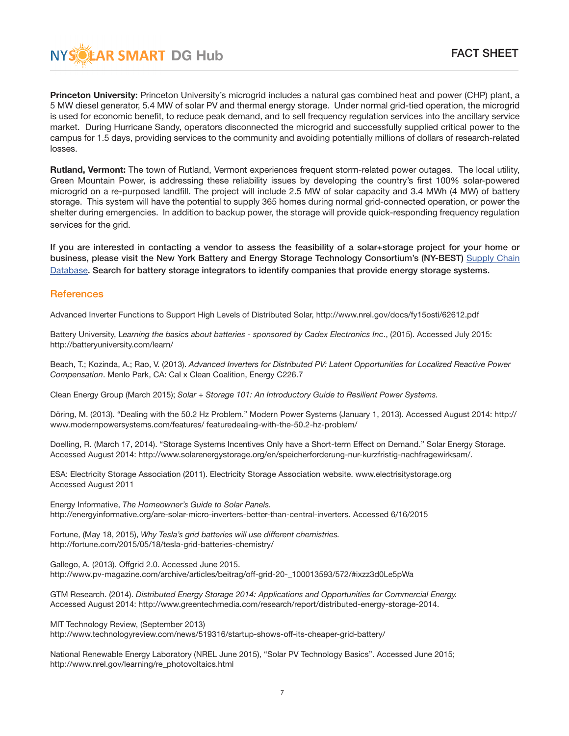Princeton University: Princeton University's microgrid includes a natural gas combined heat and power (CHP) plant, a 5 MW diesel generator, 5.4 MW of solar PV and thermal energy storage. Under normal grid-tied operation, the microgrid is used for economic benefit, to reduce peak demand, and to sell frequency regulation services into the ancillary service market. During Hurricane Sandy, operators disconnected the microgrid and successfully supplied critical power to the campus for 1.5 days, providing services to the community and avoiding potentially millions of dollars of research-related losses.

**AR SMART DG Hub FACT SHEET** 

Rutland, Vermont: The town of Rutland, Vermont experiences frequent storm-related power outages. The local utility, Green Mountain Power, is addressing these reliability issues by developing the country's first 100% solar-powered microgrid on a re-purposed landfill. The project will include 2.5 MW of solar capacity and 3.4 MWh (4 MW) of battery storage. This system will have the potential to supply 365 homes during normal grid-connected operation, or power the shelter during emergencies. In addition to backup power, the storage will provide quick-responding frequency regulation services for the grid.

If you are interested in contacting a vendor to assess the feasibility of a solar+storage project for your home or [business, please visit the New York Battery and Energy Storage Technology Consortium's \(NY-BEST\)](http://www.ny-best.org/supplychainsearch) Supply Chain Database. Search for battery storage integrators to identify companies that provide energy storage systems.

### **References**

Advanced Inverter Functions to Support High Levels of Distributed Solar, http://www.nrel.gov/docs/fy15osti/62612.pdf

Battery University, L*earning the basics about batteries - sponsored by Cadex Electronics Inc*., (2015). Accessed July 2015: http://batteryuniversity.com/learn/

Beach, T.; Kozinda, A.; Rao, V. (2013). *Advanced Inverters for Distributed PV: Latent Opportunities for Localized Reactive Power Compensation*. Menlo Park, CA: Cal x Clean Coalition, Energy C226.7

Clean Energy Group (March 2015); *Solar + Storage 101: An Introductory Guide to Resilient Power Systems.* 

Döring, M. (2013). "Dealing with the 50.2 Hz Problem." Modern Power Systems (January 1, 2013). Accessed August 2014: http:// www.modernpowersystems.com/features/ featuredealing-with-the-50.2-hz-problem/

Doelling, R. (March 17, 2014). "Storage Systems Incentives Only have a Short-term Effect on Demand." Solar Energy Storage. Accessed August 2014: http://www.solarenergystorage.org/en/speicherforderung-nur-kurzfristig-nachfragewirksam/.

ESA: Electricity Storage Association (2011). Electricity Storage Association website. www.electrisitystorage.org Accessed August 2011

Energy Informative, *The Homeowner's Guide to Solar Panels.* http://energyinformative.org/are-solar-micro-inverters-better-than-central-inverters. Accessed 6/16/2015

Fortune, (May 18, 2015), *Why Tesla's grid batteries will use different chemistries.*  http://fortune.com/2015/05/18/tesla-grid-batteries-chemistry/

Gallego, A. (2013). Offgrid 2.0. Accessed June 2015. http://www.pv-magazine.com/archive/articles/beitrag/off-grid-20-\_100013593/572/#ixzz3d0Le5pWa

GTM Research. (2014). *Distributed Energy Storage 2014: Applications and Opportunities for Commercial Energy.*  Accessed August 2014: http://www.greentechmedia.com/research/report/distributed-energy-storage-2014.

MIT Technology Review, (September 2013) http://www.technologyreview.com/news/519316/startup-shows-off-its-cheaper-grid-battery/

National Renewable Energy Laboratory (NREL June 2015), "Solar PV Technology Basics". Accessed June 2015; http://www.nrel.gov/learning/re\_photovoltaics.html